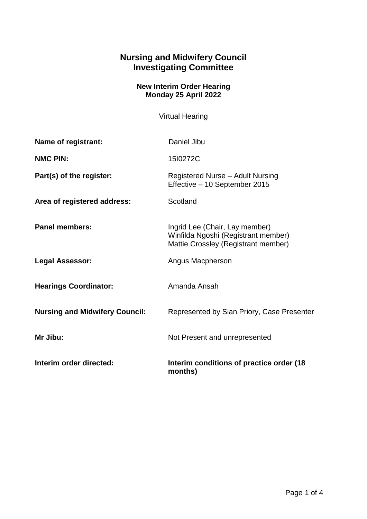## **Nursing and Midwifery Council Investigating Committee**

## **New Interim Order Hearing Monday 25 April 2022**

Virtual Hearing

| Name of registrant:                   | Daniel Jibu                                                                                                  |
|---------------------------------------|--------------------------------------------------------------------------------------------------------------|
| <b>NMC PIN:</b>                       | 1510272C                                                                                                     |
| Part(s) of the register:              | Registered Nurse - Adult Nursing<br>Effective - 10 September 2015                                            |
| Area of registered address:           | Scotland                                                                                                     |
| <b>Panel members:</b>                 | Ingrid Lee (Chair, Lay member)<br>Winfilda Ngoshi (Registrant member)<br>Mattie Crossley (Registrant member) |
| <b>Legal Assessor:</b>                | Angus Macpherson                                                                                             |
| <b>Hearings Coordinator:</b>          | Amanda Ansah                                                                                                 |
| <b>Nursing and Midwifery Council:</b> | Represented by Sian Priory, Case Presenter                                                                   |
| Mr Jibu:                              | Not Present and unrepresented                                                                                |
| Interim order directed:               | Interim conditions of practice order (18)<br>months)                                                         |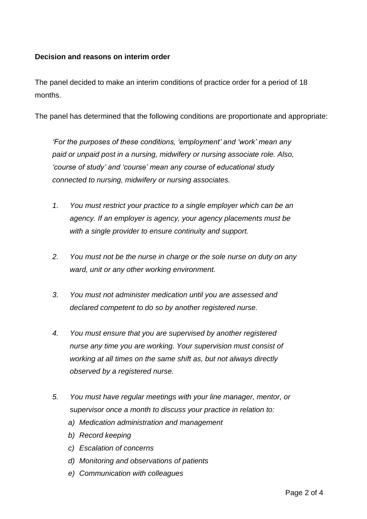## **Decision and reasons on interim order**

The panel decided to make an interim conditions of practice order for a period of 18 months.

The panel has determined that the following conditions are proportionate and appropriate:

*'For the purposes of these conditions, 'employment' and 'work' mean any paid or unpaid post in a nursing, midwifery or nursing associate role. Also, 'course of study' and 'course' mean any course of educational study connected to nursing, midwifery or nursing associates.*

- *1. You must restrict your practice to a single employer which can be an agency. If an employer is agency, your agency placements must be with a single provider to ensure continuity and support.*
- *2. You must not be the nurse in charge or the sole nurse on duty on any ward, unit or any other working environment.*
- *3. You must not administer medication until you are assessed and declared competent to do so by another registered nurse.*
- *4. You must ensure that you are supervised by another registered nurse any time you are working. Your supervision must consist of working at all times on the same shift as, but not always directly observed by a registered nurse.*
- *5. You must have regular meetings with your line manager, mentor, or supervisor once a month to discuss your practice in relation to:*
	- *a) Medication administration and management*
	- *b) Record keeping*
	- *c) Escalation of concerns*
	- *d) Monitoring and observations of patients*
	- *e) Communication with colleagues*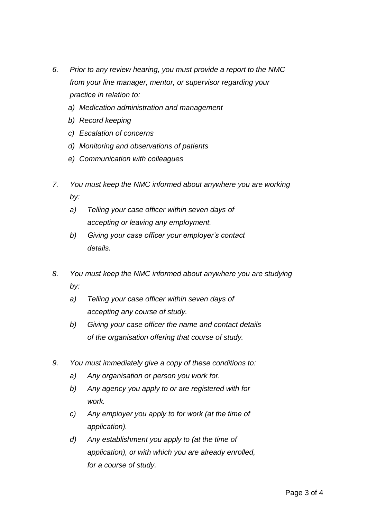- *6. Prior to any review hearing, you must provide a report to the NMC from your line manager, mentor, or supervisor regarding your practice in relation to:*
	- *a) Medication administration and management*
	- *b) Record keeping*
	- *c) Escalation of concerns*
	- *d) Monitoring and observations of patients*
	- *e) Communication with colleagues*
- *7. You must keep the NMC informed about anywhere you are working by:* 
	- *a) Telling your case officer within seven days of accepting or leaving any employment.*
	- *b) Giving your case officer your employer's contact details.*
- *8. You must keep the NMC informed about anywhere you are studying by:* 
	- *a) Telling your case officer within seven days of accepting any course of study.*
	- *b) Giving your case officer the name and contact details of the organisation offering that course of study.*
- *9. You must immediately give a copy of these conditions to:* 
	- *a) Any organisation or person you work for.*
	- *b) Any agency you apply to or are registered with for work.*
	- *c) Any employer you apply to for work (at the time of application).*
	- *d) Any establishment you apply to (at the time of application), or with which you are already enrolled, for a course of study.*